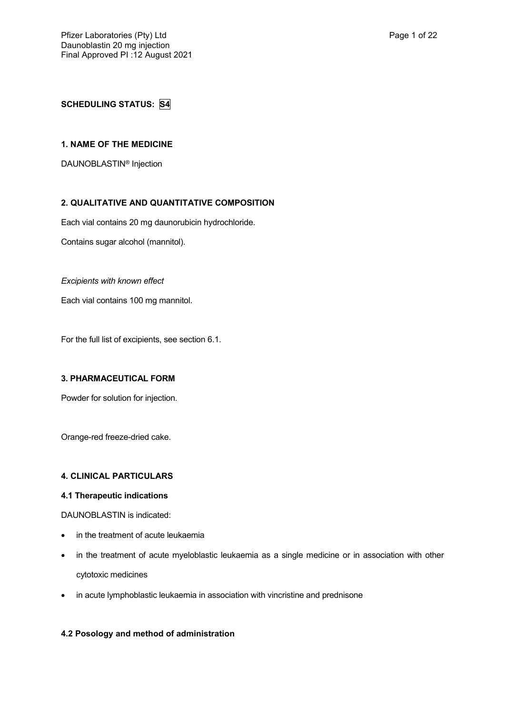# **SCHEDULING STATUS: S4**

## **1. NAME OF THE MEDICINE**

DAUNOBLASTIN® Injection

## **2. QUALITATIVE AND QUANTITATIVE COMPOSITION**

Each vial contains 20 mg daunorubicin hydrochloride.

Contains sugar alcohol (mannitol).

### *Excipients with known effect*

Each vial contains 100 mg mannitol.

For the full list of excipients, see section 6.1.

#### **3. PHARMACEUTICAL FORM**

Powder for solution for injection.

Orange-red freeze-dried cake.

## **4. CLINICAL PARTICULARS**

## **4.1 Therapeutic indications**

DAUNOBLASTIN is indicated:

- in the treatment of acute leukaemia
- in the treatment of acute myeloblastic leukaemia as a single medicine or in association with other cytotoxic medicines
- in acute lymphoblastic leukaemia in association with vincristine and prednisone

## **4.2 Posology and method of administration**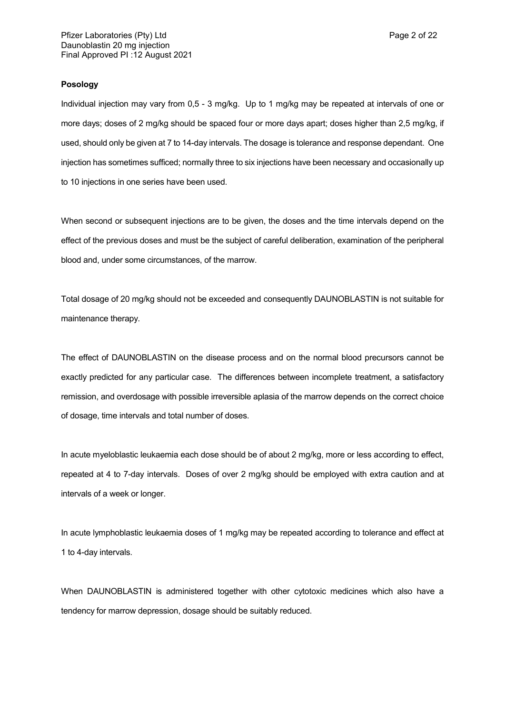### **Posology**

Individual injection may vary from 0,5 - 3 mg/kg. Up to 1 mg/kg may be repeated at intervals of one or more days; doses of 2 mg/kg should be spaced four or more days apart; doses higher than 2,5 mg/kg, if used, should only be given at 7 to 14-day intervals. The dosage is tolerance and response dependant. One injection has sometimes sufficed; normally three to six injections have been necessary and occasionally up to 10 injections in one series have been used.

When second or subsequent injections are to be given, the doses and the time intervals depend on the effect of the previous doses and must be the subject of careful deliberation, examination of the peripheral blood and, under some circumstances, of the marrow.

Total dosage of 20 mg/kg should not be exceeded and consequently DAUNOBLASTIN is not suitable for maintenance therapy.

The effect of DAUNOBLASTIN on the disease process and on the normal blood precursors cannot be exactly predicted for any particular case. The differences between incomplete treatment, a satisfactory remission, and overdosage with possible irreversible aplasia of the marrow depends on the correct choice of dosage, time intervals and total number of doses.

In acute myeloblastic leukaemia each dose should be of about 2 mg/kg, more or less according to effect, repeated at 4 to 7-day intervals. Doses of over 2 mg/kg should be employed with extra caution and at intervals of a week or longer.

In acute lymphoblastic leukaemia doses of 1 mg/kg may be repeated according to tolerance and effect at 1 to 4-day intervals.

When DAUNOBLASTIN is administered together with other cytotoxic medicines which also have a tendency for marrow depression, dosage should be suitably reduced.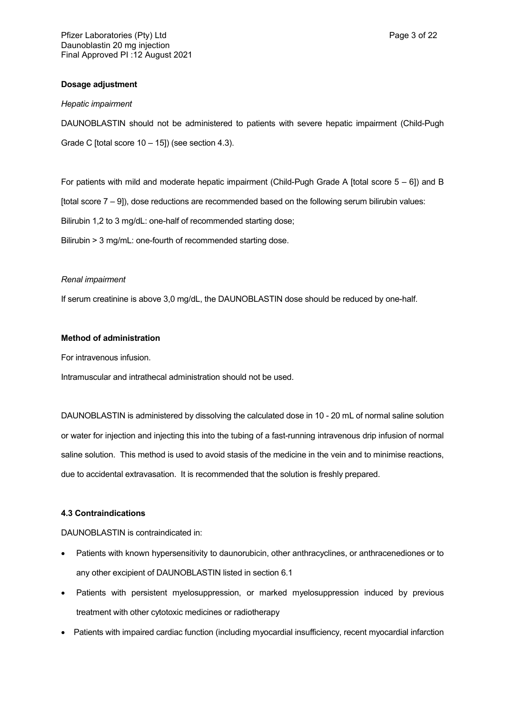## **Dosage adjustment**

#### *Hepatic impairment*

DAUNOBLASTIN should not be administered to patients with severe hepatic impairment (Child-Pugh Grade C [total score 10 – 15]) (see section 4.3).

For patients with mild and moderate hepatic impairment (Child-Pugh Grade A [total score 5 – 6]) and B [total score 7 – 9]), dose reductions are recommended based on the following serum bilirubin values: Bilirubin 1,2 to 3 mg/dL: one-half of recommended starting dose; Bilirubin > 3 mg/mL: one-fourth of recommended starting dose.

## *Renal impairment*

If serum creatinine is above 3,0 mg/dL, the DAUNOBLASTIN dose should be reduced by one-half.

### **Method of administration**

For intravenous infusion.

Intramuscular and intrathecal administration should not be used.

DAUNOBLASTIN is administered by dissolving the calculated dose in 10 - 20 mL of normal saline solution or water for injection and injecting this into the tubing of a fast-running intravenous drip infusion of normal saline solution. This method is used to avoid stasis of the medicine in the vein and to minimise reactions, due to accidental extravasation. It is recommended that the solution is freshly prepared.

## **4.3 Contraindications**

DAUNOBLASTIN is contraindicated in:

- Patients with known hypersensitivity to daunorubicin, other anthracyclines, or anthracenediones or to any other excipient of DAUNOBLASTIN listed in section 6.1
- Patients with persistent myelosuppression, or marked myelosuppression induced by previous treatment with other cytotoxic medicines or radiotherapy
- Patients with impaired cardiac function (including myocardial insufficiency, recent myocardial infarction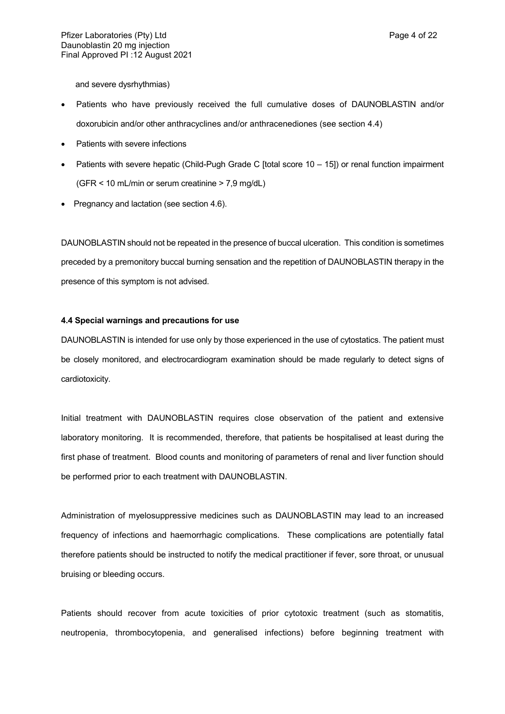and severe dysrhythmias)

- Patients who have previously received the full cumulative doses of DAUNOBLASTIN and/or doxorubicin and/or other anthracyclines and/or anthracenediones (see section 4.4)
- Patients with severe infections
- Patients with severe hepatic (Child-Pugh Grade C [total score 10 15]) or renal function impairment (GFR < 10 mL/min or serum creatinine > 7,9 mg/dL)
- Pregnancy and lactation (see section 4.6).

DAUNOBLASTIN should not be repeated in the presence of buccal ulceration. This condition is sometimes preceded by a premonitory buccal burning sensation and the repetition of DAUNOBLASTIN therapy in the presence of this symptom is not advised.

## **4.4 Special warnings and precautions for use**

DAUNOBLASTIN is intended for use only by those experienced in the use of cytostatics. The patient must be closely monitored, and electrocardiogram examination should be made regularly to detect signs of cardiotoxicity.

Initial treatment with DAUNOBLASTIN requires close observation of the patient and extensive laboratory monitoring. It is recommended, therefore, that patients be hospitalised at least during the first phase of treatment. Blood counts and monitoring of parameters of renal and liver function should be performed prior to each treatment with DAUNOBLASTIN.

Administration of myelosuppressive medicines such as DAUNOBLASTIN may lead to an increased frequency of infections and haemorrhagic complications. These complications are potentially fatal therefore patients should be instructed to notify the medical practitioner if fever, sore throat, or unusual bruising or bleeding occurs.

Patients should recover from acute toxicities of prior cytotoxic treatment (such as stomatitis, neutropenia, thrombocytopenia, and generalised infections) before beginning treatment with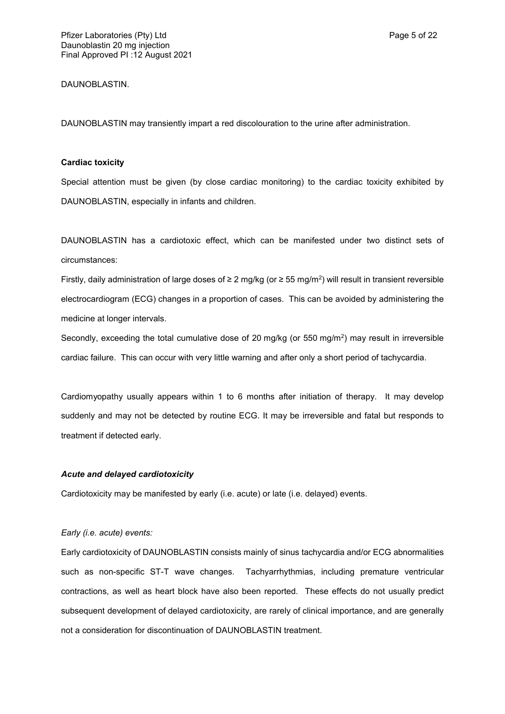DAUNOBLASTIN.

DAUNOBLASTIN may transiently impart a red discolouration to the urine after administration.

## **Cardiac toxicity**

Special attention must be given (by close cardiac monitoring) to the cardiac toxicity exhibited by DAUNOBLASTIN, especially in infants and children.

DAUNOBLASTIN has a cardiotoxic effect, which can be manifested under two distinct sets of circumstances:

Firstly, daily administration of large doses of ≥ 2 mg/kg (or ≥ 55 mg/m<sup>2</sup>) will result in transient reversible electrocardiogram (ECG) changes in a proportion of cases. This can be avoided by administering the medicine at longer intervals.

Secondly, exceeding the total cumulative dose of 20 mg/kg (or 550 mg/m<sup>2</sup>) may result in irreversible cardiac failure. This can occur with very little warning and after only a short period of tachycardia.

Cardiomyopathy usually appears within 1 to 6 months after initiation of therapy. It may develop suddenly and may not be detected by routine ECG. It may be irreversible and fatal but responds to treatment if detected early.

## *Acute and delayed cardiotoxicity*

Cardiotoxicity may be manifested by early (i.e. acute) or late (i.e. delayed) events.

## *Early (i.e. acute) events:*

Early cardiotoxicity of DAUNOBLASTIN consists mainly of sinus tachycardia and/or ECG abnormalities such as non-specific ST-T wave changes. Tachyarrhythmias, including premature ventricular contractions, as well as heart block have also been reported. These effects do not usually predict subsequent development of delayed cardiotoxicity, are rarely of clinical importance, and are generally not a consideration for discontinuation of DAUNOBLASTIN treatment.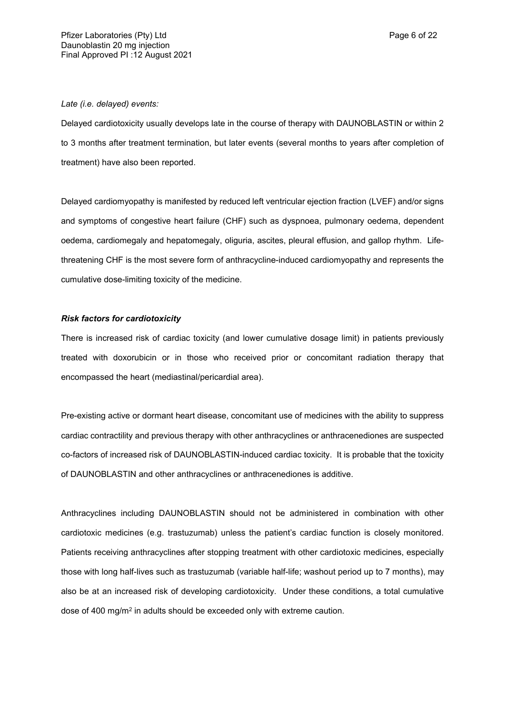#### *Late (i.e. delayed) events:*

Delayed cardiotoxicity usually develops late in the course of therapy with DAUNOBLASTIN or within 2 to 3 months after treatment termination, but later events (several months to years after completion of treatment) have also been reported.

Delayed cardiomyopathy is manifested by reduced left ventricular ejection fraction (LVEF) and/or signs and symptoms of congestive heart failure (CHF) such as dyspnoea, pulmonary oedema, dependent oedema, cardiomegaly and hepatomegaly, oliguria, ascites, pleural effusion, and gallop rhythm. Lifethreatening CHF is the most severe form of anthracycline-induced cardiomyopathy and represents the cumulative dose-limiting toxicity of the medicine.

#### *Risk factors for cardiotoxicity*

There is increased risk of cardiac toxicity (and lower cumulative dosage limit) in patients previously treated with doxorubicin or in those who received prior or concomitant radiation therapy that encompassed the heart (mediastinal/pericardial area).

Pre-existing active or dormant heart disease, concomitant use of medicines with the ability to suppress cardiac contractility and previous therapy with other anthracyclines or anthracenediones are suspected co-factors of increased risk of DAUNOBLASTIN-induced cardiac toxicity. It is probable that the toxicity of DAUNOBLASTIN and other anthracyclines or anthracenediones is additive.

Anthracyclines including DAUNOBLASTIN should not be administered in combination with other cardiotoxic medicines (e.g. trastuzumab) unless the patient's cardiac function is closely monitored. Patients receiving anthracyclines after stopping treatment with other cardiotoxic medicines, especially those with long half-lives such as trastuzumab (variable half-life; washout period up to 7 months), may also be at an increased risk of developing cardiotoxicity. Under these conditions, a total cumulative dose of 400 mg/m<sup>2</sup> in adults should be exceeded only with extreme caution.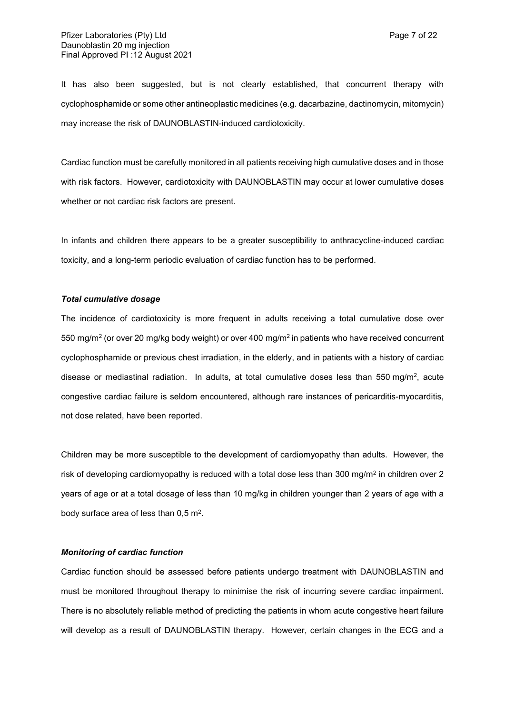It has also been suggested, but is not clearly established, that concurrent therapy with cyclophosphamide or some other antineoplastic medicines (e.g. dacarbazine, dactinomycin, mitomycin) may increase the risk of DAUNOBLASTIN-induced cardiotoxicity.

Cardiac function must be carefully monitored in all patients receiving high cumulative doses and in those with risk factors. However, cardiotoxicity with DAUNOBLASTIN may occur at lower cumulative doses whether or not cardiac risk factors are present.

In infants and children there appears to be a greater susceptibility to anthracycline-induced cardiac toxicity, and a long-term periodic evaluation of cardiac function has to be performed.

#### *Total cumulative dosage*

The incidence of cardiotoxicity is more frequent in adults receiving a total cumulative dose over 550 mg/m<sup>2</sup> (or over 20 mg/kg body weight) or over 400 mg/m<sup>2</sup> in patients who have received concurrent cyclophosphamide or previous chest irradiation, in the elderly, and in patients with a history of cardiac disease or mediastinal radiation. In adults, at total cumulative doses less than 550 mg/m<sup>2</sup>, acute congestive cardiac failure is seldom encountered, although rare instances of pericarditis-myocarditis, not dose related, have been reported.

Children may be more susceptible to the development of cardiomyopathy than adults. However, the risk of developing cardiomyopathy is reduced with a total dose less than 300 mg/m<sup>2</sup> in children over 2 years of age or at a total dosage of less than 10 mg/kg in children younger than 2 years of age with a body surface area of less than  $0.5$  m<sup>2</sup>.

## *Monitoring of cardiac function*

Cardiac function should be assessed before patients undergo treatment with DAUNOBLASTIN and must be monitored throughout therapy to minimise the risk of incurring severe cardiac impairment. There is no absolutely reliable method of predicting the patients in whom acute congestive heart failure will develop as a result of DAUNOBLASTIN therapy. However, certain changes in the ECG and a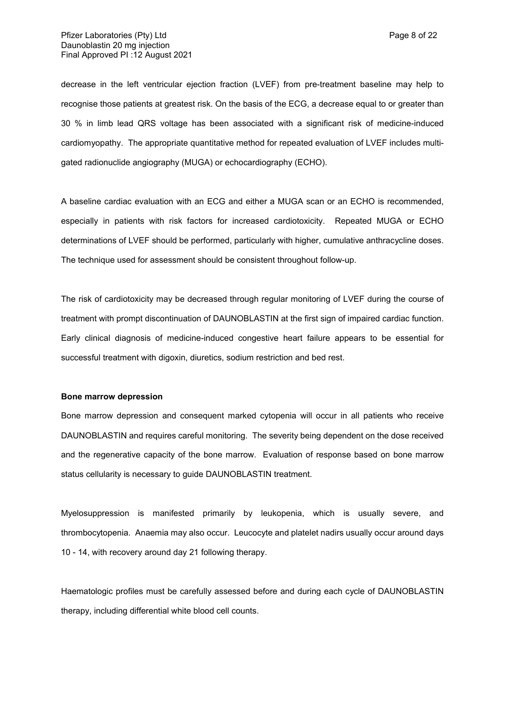decrease in the left ventricular ejection fraction (LVEF) from pre-treatment baseline may help to recognise those patients at greatest risk. On the basis of the ECG, a decrease equal to or greater than 30 % in limb lead QRS voltage has been associated with a significant risk of medicine-induced cardiomyopathy. The appropriate quantitative method for repeated evaluation of LVEF includes multigated radionuclide angiography (MUGA) or echocardiography (ECHO).

A baseline cardiac evaluation with an ECG and either a MUGA scan or an ECHO is recommended, especially in patients with risk factors for increased cardiotoxicity. Repeated MUGA or ECHO determinations of LVEF should be performed, particularly with higher, cumulative anthracycline doses. The technique used for assessment should be consistent throughout follow-up.

The risk of cardiotoxicity may be decreased through regular monitoring of LVEF during the course of treatment with prompt discontinuation of DAUNOBLASTIN at the first sign of impaired cardiac function. Early clinical diagnosis of medicine-induced congestive heart failure appears to be essential for successful treatment with digoxin, diuretics, sodium restriction and bed rest.

#### **Bone marrow depression**

Bone marrow depression and consequent marked cytopenia will occur in all patients who receive DAUNOBLASTIN and requires careful monitoring. The severity being dependent on the dose received and the regenerative capacity of the bone marrow. Evaluation of response based on bone marrow status cellularity is necessary to guide DAUNOBLASTIN treatment.

Myelosuppression is manifested primarily by leukopenia, which is usually severe, and thrombocytopenia. Anaemia may also occur. Leucocyte and platelet nadirs usually occur around days 10 - 14, with recovery around day 21 following therapy.

Haematologic profiles must be carefully assessed before and during each cycle of DAUNOBLASTIN therapy, including differential white blood cell counts.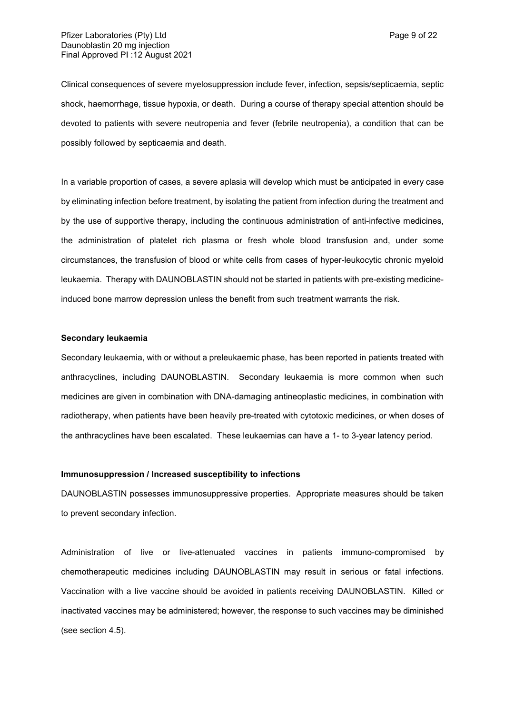Clinical consequences of severe myelosuppression include fever, infection, sepsis/septicaemia, septic shock, haemorrhage, tissue hypoxia, or death. During a course of therapy special attention should be devoted to patients with severe neutropenia and fever (febrile neutropenia), a condition that can be possibly followed by septicaemia and death.

In a variable proportion of cases, a severe aplasia will develop which must be anticipated in every case by eliminating infection before treatment, by isolating the patient from infection during the treatment and by the use of supportive therapy, including the continuous administration of anti-infective medicines, the administration of platelet rich plasma or fresh whole blood transfusion and, under some circumstances, the transfusion of blood or white cells from cases of hyper-leukocytic chronic myeloid leukaemia. Therapy with DAUNOBLASTIN should not be started in patients with pre-existing medicineinduced bone marrow depression unless the benefit from such treatment warrants the risk.

### **Secondary leukaemia**

Secondary leukaemia, with or without a preleukaemic phase, has been reported in patients treated with anthracyclines, including DAUNOBLASTIN. Secondary leukaemia is more common when such medicines are given in combination with DNA-damaging antineoplastic medicines, in combination with radiotherapy, when patients have been heavily pre-treated with cytotoxic medicines, or when doses of the anthracyclines have been escalated. These leukaemias can have a 1- to 3-year latency period.

### **Immunosuppression / Increased susceptibility to infections**

DAUNOBLASTIN possesses immunosuppressive properties. Appropriate measures should be taken to prevent secondary infection.

Administration of live or live-attenuated vaccines in patients immuno-compromised by chemotherapeutic medicines including DAUNOBLASTIN may result in serious or fatal infections. Vaccination with a live vaccine should be avoided in patients receiving DAUNOBLASTIN. Killed or inactivated vaccines may be administered; however, the response to such vaccines may be diminished (see section 4.5).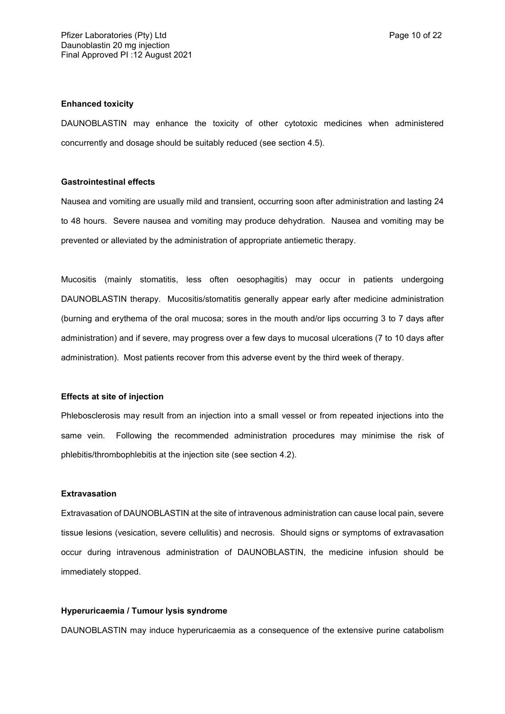#### **Enhanced toxicity**

DAUNOBLASTIN may enhance the toxicity of other cytotoxic medicines when administered concurrently and dosage should be suitably reduced (see section 4.5).

## **Gastrointestinal effects**

Nausea and vomiting are usually mild and transient, occurring soon after administration and lasting 24 to 48 hours. Severe nausea and vomiting may produce dehydration. Nausea and vomiting may be prevented or alleviated by the administration of appropriate antiemetic therapy.

Mucositis (mainly stomatitis, less often oesophagitis) may occur in patients undergoing DAUNOBLASTIN therapy. Mucositis/stomatitis generally appear early after medicine administration (burning and erythema of the oral mucosa; sores in the mouth and/or lips occurring 3 to 7 days after administration) and if severe, may progress over a few days to mucosal ulcerations (7 to 10 days after administration). Most patients recover from this adverse event by the third week of therapy.

#### **Effects at site of injection**

Phlebosclerosis may result from an injection into a small vessel or from repeated injections into the same vein. Following the recommended administration procedures may minimise the risk of phlebitis/thrombophlebitis at the injection site (see section 4.2).

#### **Extravasation**

Extravasation of DAUNOBLASTIN at the site of intravenous administration can cause local pain, severe tissue lesions (vesication, severe cellulitis) and necrosis. Should signs or symptoms of extravasation occur during intravenous administration of DAUNOBLASTIN, the medicine infusion should be immediately stopped.

## **Hyperuricaemia / Tumour lysis syndrome**

DAUNOBLASTIN may induce hyperuricaemia as a consequence of the extensive purine catabolism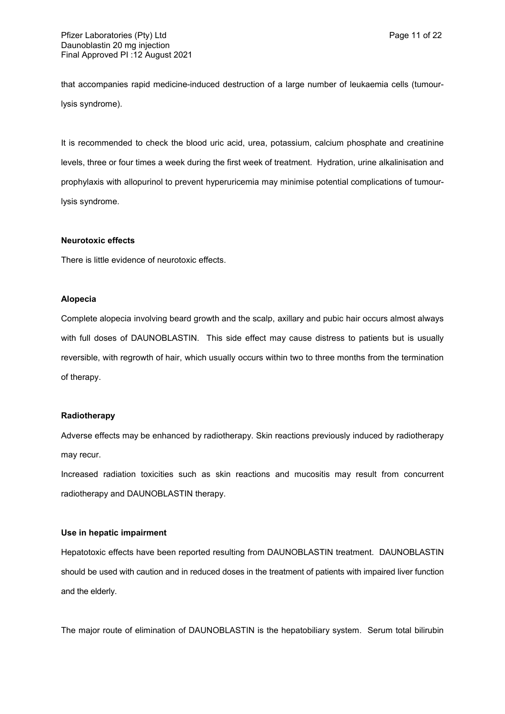that accompanies rapid medicine-induced destruction of a large number of leukaemia cells (tumourlysis syndrome).

It is recommended to check the blood uric acid, urea, potassium, calcium phosphate and creatinine levels, three or four times a week during the first week of treatment. Hydration, urine alkalinisation and prophylaxis with allopurinol to prevent hyperuricemia may minimise potential complications of tumourlysis syndrome.

## **Neurotoxic effects**

There is little evidence of neurotoxic effects.

## **Alopecia**

Complete alopecia involving beard growth and the scalp, axillary and pubic hair occurs almost always with full doses of DAUNOBLASTIN. This side effect may cause distress to patients but is usually reversible, with regrowth of hair, which usually occurs within two to three months from the termination of therapy.

## **Radiotherapy**

Adverse effects may be enhanced by radiotherapy. Skin reactions previously induced by radiotherapy may recur.

Increased radiation toxicities such as skin reactions and mucositis may result from concurrent radiotherapy and DAUNOBLASTIN therapy.

## **Use in hepatic impairment**

Hepatotoxic effects have been reported resulting from DAUNOBLASTIN treatment. DAUNOBLASTIN should be used with caution and in reduced doses in the treatment of patients with impaired liver function and the elderly.

The major route of elimination of DAUNOBLASTIN is the hepatobiliary system. Serum total bilirubin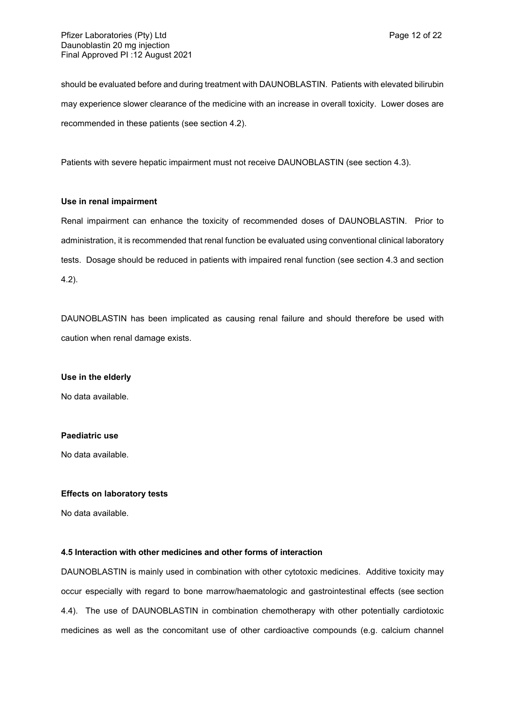should be evaluated before and during treatment with DAUNOBLASTIN. Patients with elevated bilirubin may experience slower clearance of the medicine with an increase in overall toxicity. Lower doses are recommended in these patients (see section 4.2).

Patients with severe hepatic impairment must not receive DAUNOBLASTIN (see section 4.3).

## **Use in renal impairment**

Renal impairment can enhance the toxicity of recommended doses of DAUNOBLASTIN. Prior to administration, it is recommended that renal function be evaluated using conventional clinical laboratory tests. Dosage should be reduced in patients with impaired renal function (see section 4.3 and section 4.2).

DAUNOBLASTIN has been implicated as causing renal failure and should therefore be used with caution when renal damage exists.

## **Use in the elderly**

No data available.

## **Paediatric use**

No data available.

## **Effects on laboratory tests**

No data available.

## **4.5 Interaction with other medicines and other forms of interaction**

DAUNOBLASTIN is mainly used in combination with other cytotoxic medicines. Additive toxicity may occur especially with regard to bone marrow/haematologic and gastrointestinal effects (see section 4.4). The use of DAUNOBLASTIN in combination chemotherapy with other potentially cardiotoxic medicines as well as the concomitant use of other cardioactive compounds (e.g. calcium channel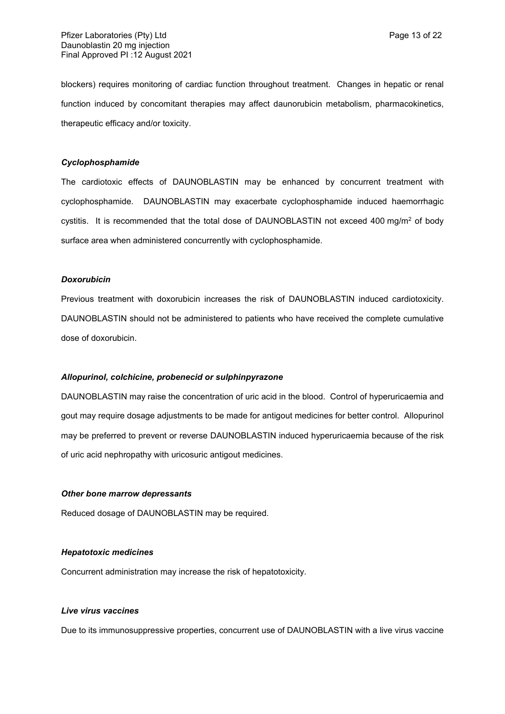blockers) requires monitoring of cardiac function throughout treatment. Changes in hepatic or renal function induced by concomitant therapies may affect daunorubicin metabolism, pharmacokinetics, therapeutic efficacy and/or toxicity.

## *Cyclophosphamide*

The cardiotoxic effects of DAUNOBLASTIN may be enhanced by concurrent treatment with cyclophosphamide. DAUNOBLASTIN may exacerbate cyclophosphamide induced haemorrhagic cystitis. It is recommended that the total dose of DAUNOBLASTIN not exceed 400 mg/m<sup>2</sup> of body surface area when administered concurrently with cyclophosphamide.

#### *Doxorubicin*

Previous treatment with doxorubicin increases the risk of DAUNOBLASTIN induced cardiotoxicity. DAUNOBLASTIN should not be administered to patients who have received the complete cumulative dose of doxorubicin.

#### *Allopurinol, colchicine, probenecid or sulphinpyrazone*

DAUNOBLASTIN may raise the concentration of uric acid in the blood. Control of hyperuricaemia and gout may require dosage adjustments to be made for antigout medicines for better control. Allopurinol may be preferred to prevent or reverse DAUNOBLASTIN induced hyperuricaemia because of the risk of uric acid nephropathy with uricosuric antigout medicines.

#### *Other bone marrow depressants*

Reduced dosage of DAUNOBLASTIN may be required.

## *Hepatotoxic medicines*

Concurrent administration may increase the risk of hepatotoxicity.

## *Live virus vaccines*

Due to its immunosuppressive properties, concurrent use of DAUNOBLASTIN with a live virus vaccine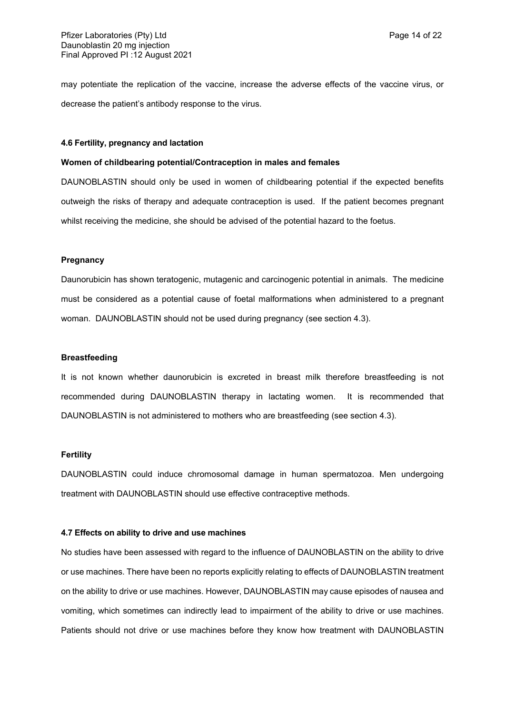may potentiate the replication of the vaccine, increase the adverse effects of the vaccine virus, or decrease the patient's antibody response to the virus.

#### **4.6 Fertility, pregnancy and lactation**

## **Women of childbearing potential/Contraception in males and females**

DAUNOBLASTIN should only be used in women of childbearing potential if the expected benefits outweigh the risks of therapy and adequate contraception is used. If the patient becomes pregnant whilst receiving the medicine, she should be advised of the potential hazard to the foetus.

#### **Pregnancy**

Daunorubicin has shown teratogenic, mutagenic and carcinogenic potential in animals. The medicine must be considered as a potential cause of foetal malformations when administered to a pregnant woman. DAUNOBLASTIN should not be used during pregnancy (see section 4.3).

#### **Breastfeeding**

It is not known whether daunorubicin is excreted in breast milk therefore breastfeeding is not recommended during DAUNOBLASTIN therapy in lactating women. It is recommended that DAUNOBLASTIN is not administered to mothers who are breastfeeding (see section 4.3).

## **Fertility**

DAUNOBLASTIN could induce chromosomal damage in human spermatozoa. Men undergoing treatment with DAUNOBLASTIN should use effective contraceptive methods.

#### **4.7 Effects on ability to drive and use machines**

No studies have been assessed with regard to the influence of DAUNOBLASTIN on the ability to drive or use machines. There have been no reports explicitly relating to effects of DAUNOBLASTIN treatment on the ability to drive or use machines. However, DAUNOBLASTIN may cause episodes of nausea and vomiting, which sometimes can indirectly lead to impairment of the ability to drive or use machines. Patients should not drive or use machines before they know how treatment with DAUNOBLASTIN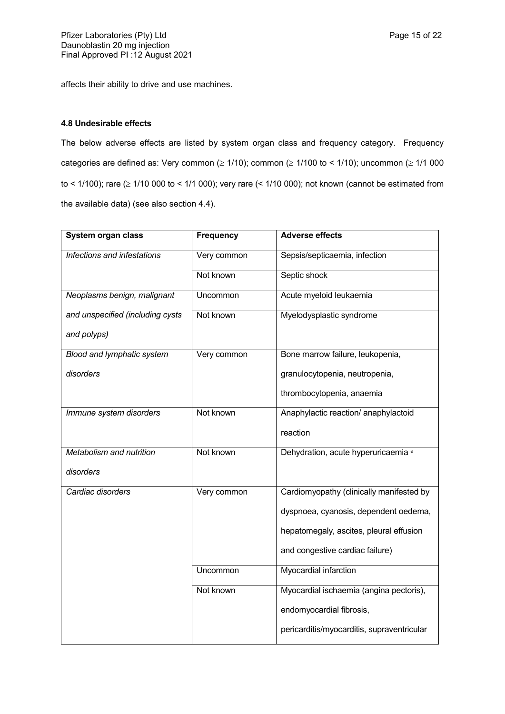affects their ability to drive and use machines.

## **4.8 Undesirable effects**

The below adverse effects are listed by system organ class and frequency category. Frequency categories are defined as: Very common ( $\geq 1/10$ ); common ( $\geq 1/100$  to < 1/10); uncommon ( $\geq 1/1000$ to < 1/100); rare  $( \geq 1/10 000$  to < 1/1 000); very rare  $( < 1/10 000)$ ; not known (cannot be estimated from the available data) (see also section 4.4).

| System organ class               | <b>Frequency</b> | <b>Adverse effects</b>                         |
|----------------------------------|------------------|------------------------------------------------|
| Infections and infestations      | Very common      | Sepsis/septicaemia, infection                  |
|                                  | Not known        | Septic shock                                   |
| Neoplasms benign, malignant      | Uncommon         | Acute myeloid leukaemia                        |
| and unspecified (including cysts | Not known        | Myelodysplastic syndrome                       |
| and polyps)                      |                  |                                                |
| Blood and lymphatic system       | Very common      | Bone marrow failure, leukopenia,               |
| disorders                        |                  | granulocytopenia, neutropenia,                 |
|                                  |                  | thrombocytopenia, anaemia                      |
| Immune system disorders          | Not known        | Anaphylactic reaction/ anaphylactoid           |
|                                  |                  | reaction                                       |
| Metabolism and nutrition         | Not known        | Dehydration, acute hyperuricaemia <sup>a</sup> |
| disorders                        |                  |                                                |
| Cardiac disorders                | Very common      | Cardiomyopathy (clinically manifested by       |
|                                  |                  | dyspnoea, cyanosis, dependent oedema,          |
|                                  |                  | hepatomegaly, ascites, pleural effusion        |
|                                  |                  | and congestive cardiac failure)                |
|                                  | Uncommon         | Myocardial infarction                          |
|                                  | Not known        | Myocardial ischaemia (angina pectoris),        |
|                                  |                  | endomyocardial fibrosis,                       |
|                                  |                  | pericarditis/myocarditis, supraventricular     |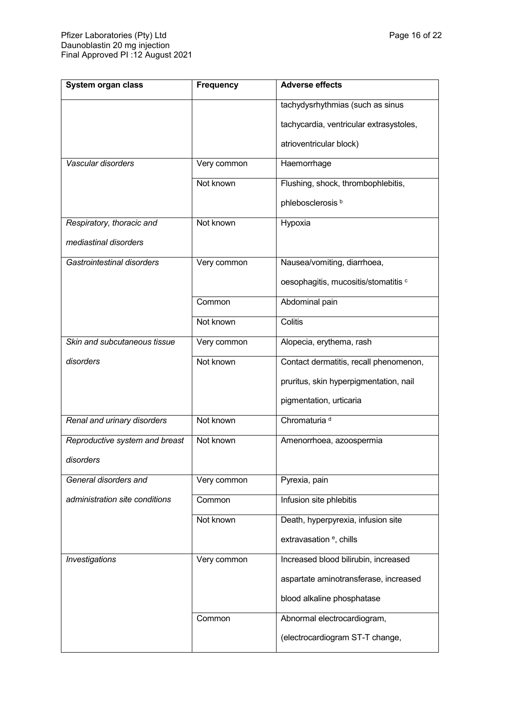| System organ class             | <b>Frequency</b> | <b>Adverse effects</b>                  |
|--------------------------------|------------------|-----------------------------------------|
|                                |                  | tachydysrhythmias (such as sinus        |
|                                |                  | tachycardia, ventricular extrasystoles, |
|                                |                  | atrioventricular block)                 |
| Vascular disorders             | Very common      | Haemorrhage                             |
|                                | Not known        | Flushing, shock, thrombophlebitis,      |
|                                |                  | phlebosclerosis <sup>b</sup>            |
| Respiratory, thoracic and      | Not known        | Hypoxia                                 |
| mediastinal disorders          |                  |                                         |
| Gastrointestinal disorders     | Very common      | Nausea/vomiting, diarrhoea,             |
|                                |                  | oesophagitis, mucositis/stomatitis c    |
|                                | Common           | Abdominal pain                          |
|                                | Not known        | Colitis                                 |
| Skin and subcutaneous tissue   | Very common      | Alopecia, erythema, rash                |
| disorders                      | Not known        | Contact dermatitis, recall phenomenon,  |
|                                |                  | pruritus, skin hyperpigmentation, nail  |
|                                |                  | pigmentation, urticaria                 |
| Renal and urinary disorders    | Not known        | Chromaturia <sup>d</sup>                |
| Reproductive system and breast | Not known        | Amenorrhoea, azoospermia                |
| disorders                      |                  |                                         |
| General disorders and          | Very common      | Pyrexia, pain                           |
| administration site conditions | Common           | Infusion site phlebitis                 |
|                                | Not known        | Death, hyperpyrexia, infusion site      |
|                                |                  | extravasation <sup>e</sup> , chills     |
| <b>Investigations</b>          | Very common      | Increased blood bilirubin, increased    |
|                                |                  | aspartate aminotransferase, increased   |
|                                |                  | blood alkaline phosphatase              |
|                                | Common           | Abnormal electrocardiogram,             |
|                                |                  | (electrocardiogram ST-T change,         |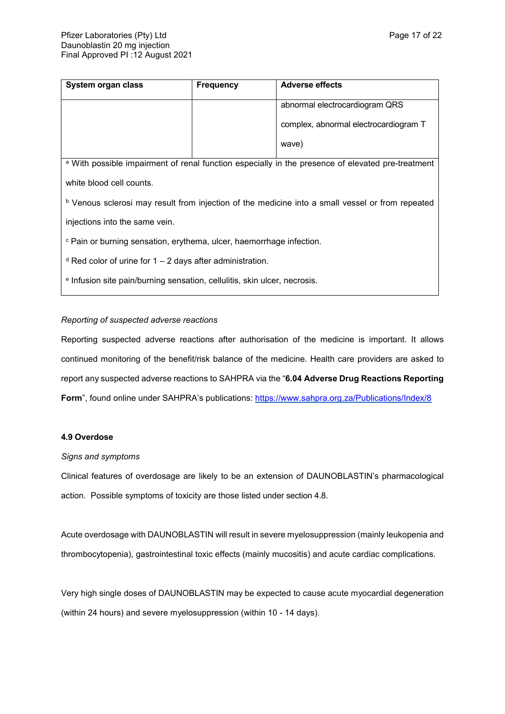| System organ class                                                                                           | <b>Frequency</b> | <b>Adverse effects</b>                |  |  |
|--------------------------------------------------------------------------------------------------------------|------------------|---------------------------------------|--|--|
|                                                                                                              |                  | abnormal electrocardiogram QRS        |  |  |
|                                                                                                              |                  | complex, abnormal electrocardiogram T |  |  |
|                                                                                                              |                  | wave)                                 |  |  |
| <sup>a</sup> With possible impairment of renal function especially in the presence of elevated pre-treatment |                  |                                       |  |  |
| white blood cell counts.                                                                                     |                  |                                       |  |  |
| <sup>b</sup> Venous sclerosi may result from injection of the medicine into a small vessel or from repeated  |                  |                                       |  |  |
| injections into the same vein.                                                                               |                  |                                       |  |  |
| <sup>c</sup> Pain or burning sensation, erythema, ulcer, haemorrhage infection.                              |                  |                                       |  |  |
| $d$ Red color of urine for 1 – 2 days after administration.                                                  |                  |                                       |  |  |

e Infusion site pain/burning sensation, cellulitis, skin ulcer, necrosis.

## *Reporting of suspected adverse reactions*

Reporting suspected adverse reactions after authorisation of the medicine is important. It allows continued monitoring of the benefit/risk balance of the medicine. Health care providers are asked to report any suspected adverse reactions to SAHPRA via the "**6.04 Adverse Drug Reactions Reporting**  Form", found online under SAHPRA's publications: <https://www.sahpra.org.za/Publications/Index/8>

## **4.9 Overdose**

## *Signs and symptoms*

Clinical features of overdosage are likely to be an extension of DAUNOBLASTIN's pharmacological action. Possible symptoms of toxicity are those listed under section 4.8.

Acute overdosage with DAUNOBLASTIN will result in severe myelosuppression (mainly leukopenia and thrombocytopenia), gastrointestinal toxic effects (mainly mucositis) and acute cardiac complications.

Very high single doses of DAUNOBLASTIN may be expected to cause acute myocardial degeneration (within 24 hours) and severe myelosuppression (within 10 - 14 days).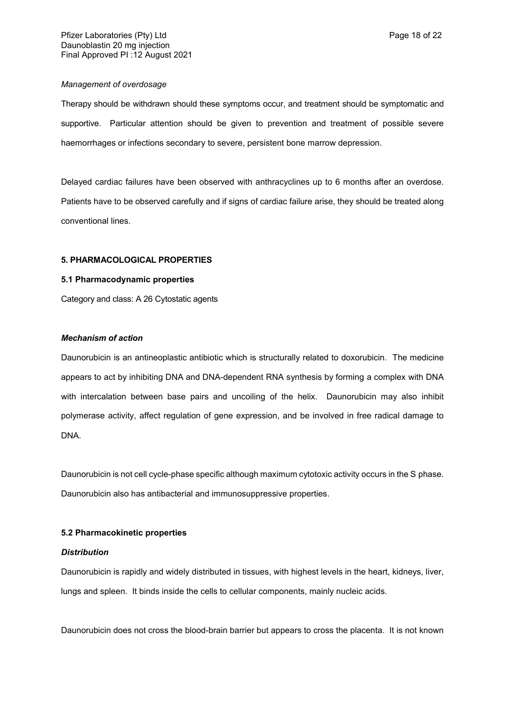### *Management of overdosage*

Therapy should be withdrawn should these symptoms occur, and treatment should be symptomatic and supportive. Particular attention should be given to prevention and treatment of possible severe haemorrhages or infections secondary to severe, persistent bone marrow depression.

Delayed cardiac failures have been observed with anthracyclines up to 6 months after an overdose. Patients have to be observed carefully and if signs of cardiac failure arise, they should be treated along conventional lines.

#### **5. PHARMACOLOGICAL PROPERTIES**

## **5.1 Pharmacodynamic properties**

Category and class: A 26 Cytostatic agents

## *Mechanism of action*

Daunorubicin is an antineoplastic antibiotic which is structurally related to doxorubicin. The medicine appears to act by inhibiting DNA and DNA-dependent RNA synthesis by forming a complex with DNA with intercalation between base pairs and uncoiling of the helix. Daunorubicin may also inhibit polymerase activity, affect regulation of gene expression, and be involved in free radical damage to DNA.

Daunorubicin is not cell cycle-phase specific although maximum cytotoxic activity occurs in the S phase. Daunorubicin also has antibacterial and immunosuppressive properties.

## **5.2 Pharmacokinetic properties**

## *Distribution*

Daunorubicin is rapidly and widely distributed in tissues, with highest levels in the heart, kidneys, liver, lungs and spleen. It binds inside the cells to cellular components, mainly nucleic acids.

Daunorubicin does not cross the blood-brain barrier but appears to cross the placenta. It is not known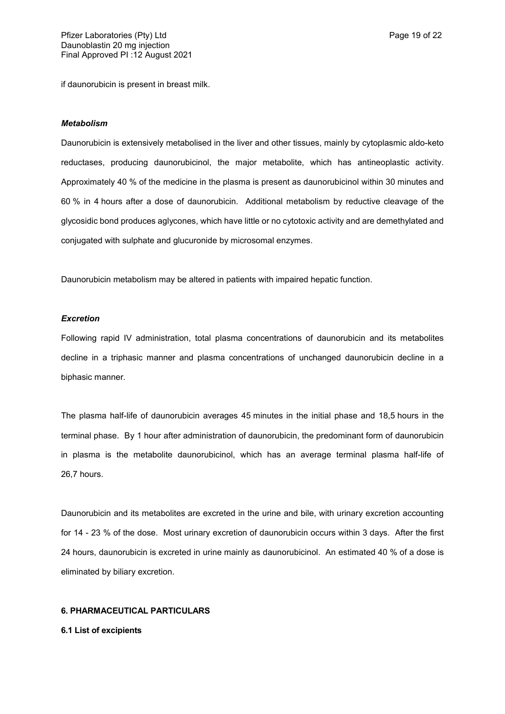if daunorubicin is present in breast milk.

#### *Metabolism*

Daunorubicin is extensively metabolised in the liver and other tissues, mainly by cytoplasmic aldo-keto reductases, producing daunorubicinol, the major metabolite, which has antineoplastic activity. Approximately 40 % of the medicine in the plasma is present as daunorubicinol within 30 minutes and 60 % in 4 hours after a dose of daunorubicin. Additional metabolism by reductive cleavage of the glycosidic bond produces aglycones, which have little or no cytotoxic activity and are demethylated and conjugated with sulphate and glucuronide by microsomal enzymes.

Daunorubicin metabolism may be altered in patients with impaired hepatic function.

#### *Excretion*

Following rapid IV administration, total plasma concentrations of daunorubicin and its metabolites decline in a triphasic manner and plasma concentrations of unchanged daunorubicin decline in a biphasic manner.

The plasma half-life of daunorubicin averages 45 minutes in the initial phase and 18,5 hours in the terminal phase. By 1 hour after administration of daunorubicin, the predominant form of daunorubicin in plasma is the metabolite daunorubicinol, which has an average terminal plasma half-life of 26,7 hours.

Daunorubicin and its metabolites are excreted in the urine and bile, with urinary excretion accounting for 14 - 23 % of the dose. Most urinary excretion of daunorubicin occurs within 3 days. After the first 24 hours, daunorubicin is excreted in urine mainly as daunorubicinol. An estimated 40 % of a dose is eliminated by biliary excretion.

#### **6. PHARMACEUTICAL PARTICULARS**

**6.1 List of excipients**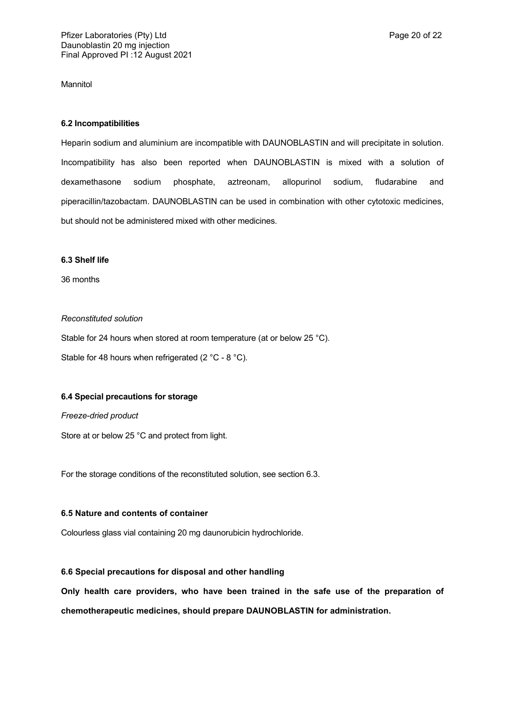Mannitol

## **6.2 Incompatibilities**

Heparin sodium and aluminium are incompatible with DAUNOBLASTIN and will precipitate in solution. Incompatibility has also been reported when DAUNOBLASTIN is mixed with a solution of dexamethasone sodium phosphate, aztreonam, allopurinol sodium, fludarabine and piperacillin/tazobactam. DAUNOBLASTIN can be used in combination with other cytotoxic medicines, but should not be administered mixed with other medicines.

## **6.3 Shelf life**

36 months

## *Reconstituted solution*

Stable for 24 hours when stored at room temperature (at or below 25 °C). Stable for 48 hours when refrigerated (2 °C - 8 °C).

## **6.4 Special precautions for storage**

*Freeze-dried product*

Store at or below 25 °C and protect from light.

For the storage conditions of the reconstituted solution, see section 6.3.

## **6.5 Nature and contents of container**

Colourless glass vial containing 20 mg daunorubicin hydrochloride.

## **6.6 Special precautions for disposal and other handling**

**Only health care providers, who have been trained in the safe use of the preparation of chemotherapeutic medicines, should prepare DAUNOBLASTIN for administration.**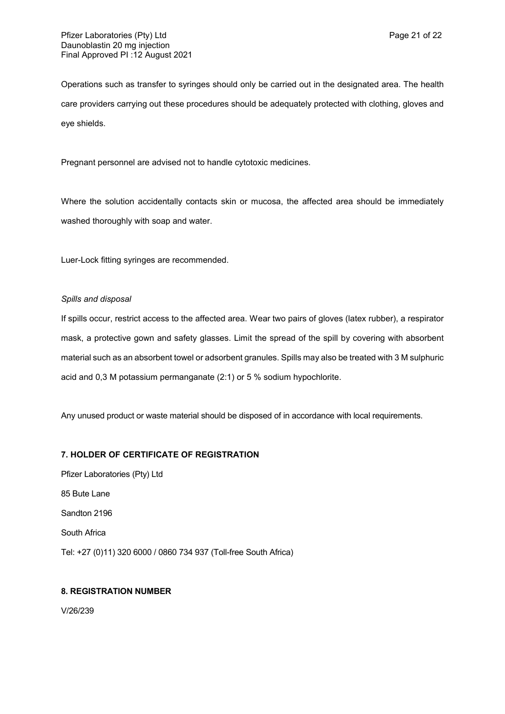Operations such as transfer to syringes should only be carried out in the designated area. The health care providers carrying out these procedures should be adequately protected with clothing, gloves and eye shields.

Pregnant personnel are advised not to handle cytotoxic medicines.

Where the solution accidentally contacts skin or mucosa, the affected area should be immediately washed thoroughly with soap and water.

Luer-Lock fitting syringes are recommended.

## *Spills and disposal*

If spills occur, restrict access to the affected area. Wear two pairs of gloves (latex rubber), a respirator mask, a protective gown and safety glasses. Limit the spread of the spill by covering with absorbent material such as an absorbent towel or adsorbent granules. Spills may also be treated with 3 M sulphuric acid and 0,3 M potassium permanganate (2:1) or 5 % sodium hypochlorite.

Any unused product or waste material should be disposed of in accordance with local requirements.

## **7. HOLDER OF CERTIFICATE OF REGISTRATION**

Pfizer Laboratories (Pty) Ltd 85 Bute Lane Sandton 2196 South Africa Tel: +27 (0)11) 320 6000 / 0860 734 937 (Toll-free South Africa)

## **8. REGISTRATION NUMBER**

V/26/239